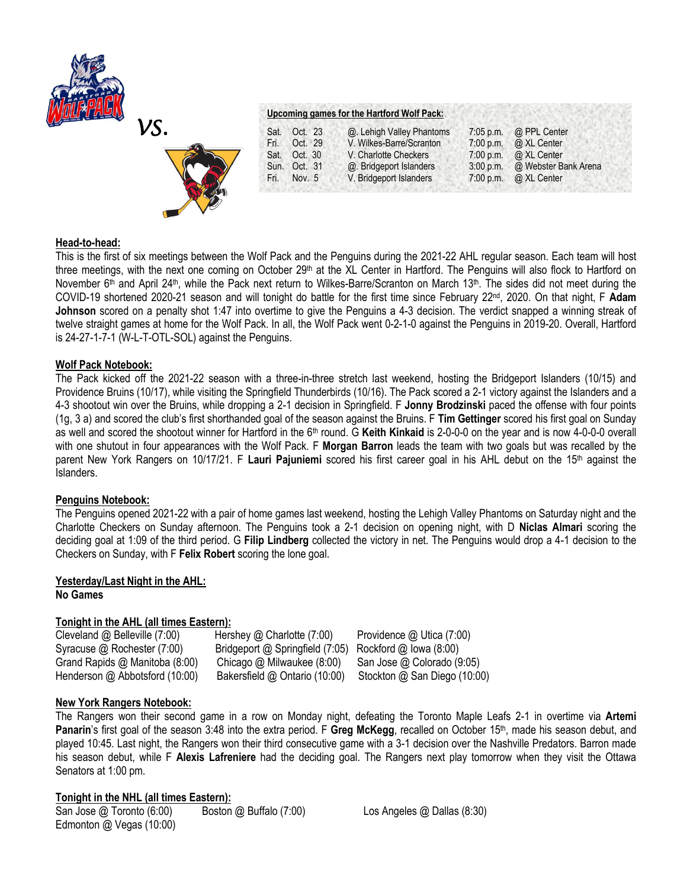



| Upcoming games for the Hartford Wolf Pack: |  |  |  |
|--------------------------------------------|--|--|--|
|                                            |  |  |  |

| Sat. | Oct. 23      | @. Lehigh Valley Phantoms |             | 7:05 p.m. $\omega$ PPL Center |
|------|--------------|---------------------------|-------------|-------------------------------|
| Fri. | Oct. 29      | V. Wilkes-Barre/Scranton  |             | 7:00 p.m. @ XL Center         |
| Sat. | Oct. 30      | V. Charlotte Checkers     |             | 7:00 p.m. $\omega$ XL Center  |
|      | Sun. Oct. 31 | @. Bridgeport Islanders   | $3:00$ p.m. | @ Webster Bank Arena          |
| Fri. | Nov. 5       | V. Bridgeport Islanders   |             | 7:00 p.m. $\omega$ XL Center  |

# **Head-to-head:**

This is the first of six meetings between the Wolf Pack and the Penguins during the 2021-22 AHL regular season. Each team will host three meetings, with the next one coming on October 29<sup>th</sup> at the XL Center in Hartford. The Penguins will also flock to Hartford on November 6<sup>th</sup> and April 24<sup>th</sup>, while the Pack next return to Wilkes-Barre/Scranton on March 13<sup>th</sup>. The sides did not meet during the COVID-19 shortened 2020-21 season and will tonight do battle for the first time since February 22nd, 2020. On that night, F **Adam Johnson** scored on a penalty shot 1:47 into overtime to give the Penguins a 4-3 decision. The verdict snapped a winning streak of twelve straight games at home for the Wolf Pack. In all, the Wolf Pack went 0-2-1-0 against the Penguins in 2019-20. Overall, Hartford is 24-27-1-7-1 (W-L-T-OTL-SOL) against the Penguins.

# **Wolf Pack Notebook:**

The Pack kicked off the 2021-22 season with a three-in-three stretch last weekend, hosting the Bridgeport Islanders (10/15) and Providence Bruins (10/17), while visiting the Springfield Thunderbirds (10/16). The Pack scored a 2-1 victory against the Islanders and a 4-3 shootout win over the Bruins, while dropping a 2-1 decision in Springfield. F **Jonny Brodzinski** paced the offense with four points (1g, 3 a) and scored the club's first shorthanded goal of the season against the Bruins. F **Tim Gettinger** scored his first goal on Sunday as well and scored the shootout winner for Hartford in the 6th round. G **Keith Kinkaid** is 2-0-0-0 on the year and is now 4-0-0-0 overall with one shutout in four appearances with the Wolf Pack. F **Morgan Barron** leads the team with two goals but was recalled by the parent New York Rangers on 10/17/21. F **Lauri Pajuniemi** scored his first career goal in his AHL debut on the 15th against the Islanders.

# **Penguins Notebook:**

The Penguins opened 2021-22 with a pair of home games last weekend, hosting the Lehigh Valley Phantoms on Saturday night and the Charlotte Checkers on Sunday afternoon. The Penguins took a 2-1 decision on opening night, with D **Niclas Almari** scoring the deciding goal at 1:09 of the third period. G **Filip Lindberg** collected the victory in net. The Penguins would drop a 4-1 decision to the Checkers on Sunday, with F **Felix Robert** scoring the lone goal.

# **Yesterday/Last Night in the AHL: No Games**

# **Tonight in the AHL (all times Eastern):**

| Cleveland @ Belleville (7:00)  | Hershey $@$ Charlotte (7:00)                           | Providence $@$ Utica (7:00)  |
|--------------------------------|--------------------------------------------------------|------------------------------|
| Syracuse @ Rochester (7:00)    | Bridgeport @ Springfield (7:05) Rockford @ Iowa (8:00) |                              |
| Grand Rapids @ Manitoba (8:00) | Chicago $@$ Milwaukee $(8:00)$                         | San Jose @ Colorado (9:05)   |
| Henderson @ Abbotsford (10:00) | Bakersfield @ Ontario (10:00)                          | Stockton @ San Diego (10:00) |

# **New York Rangers Notebook:**

The Rangers won their second game in a row on Monday night, defeating the Toronto Maple Leafs 2-1 in overtime via **Artemi**  Panarin's first goal of the season 3:48 into the extra period. F Greg McKegg, recalled on October 15<sup>th</sup>, made his season debut, and played 10:45. Last night, the Rangers won their third consecutive game with a 3-1 decision over the Nashville Predators. Barron made his season debut, while F **Alexis Lafreniere** had the deciding goal. The Rangers next play tomorrow when they visit the Ottawa Senators at 1:00 pm.

# **Tonight in the NHL (all times Eastern):**

San Jose @ Toronto (6:00) Boston @ Buffalo (7:00) Los Angeles @ Dallas (8:30) Edmonton @ Vegas (10:00)